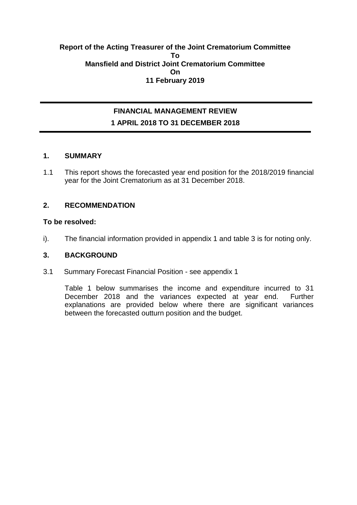#### **Report of the Acting Treasurer of the Joint Crematorium Committee To Mansfield and District Joint Crematorium Committee On 11 February 2019**

## **FINANCIAL MANAGEMENT REVIEW 1 APRIL 2018 TO 31 DECEMBER 2018**

#### **1. SUMMARY**

1.1 This report shows the forecasted year end position for the 2018/2019 financial year for the Joint Crematorium as at 31 December 2018.

#### **2. RECOMMENDATION**

#### **To be resolved:**

i). The financial information provided in appendix 1 and table 3 is for noting only.

#### **3. BACKGROUND**

3.1 Summary Forecast Financial Position - see appendix 1

Table 1 below summarises the income and expenditure incurred to 31 December 2018 and the variances expected at year end. Further explanations are provided below where there are significant variances between the forecasted outturn position and the budget.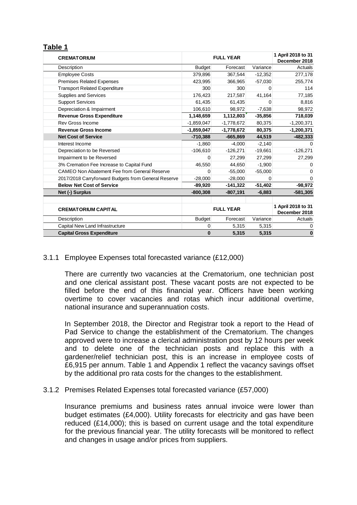#### **Table 1**

| <b>CREMATORIUM</b>                                  | <b>FULL YEAR</b> |                  |           | 1 April 2018 to 31<br>December 2018 |
|-----------------------------------------------------|------------------|------------------|-----------|-------------------------------------|
| Description                                         | <b>Budget</b>    | Forecast         | Variance  | Actuals                             |
| <b>Employee Costs</b>                               | 379,896          | 367,544          | $-12,352$ | 277,178                             |
| <b>Premises Related Expenses</b>                    | 423.995          | 366,965          | $-57,030$ | 255,774                             |
| <b>Transport Related Expenditure</b>                | 300              | 300              | 0         | 114                                 |
| Supplies and Services                               | 176,423          | 217,587          | 41,164    | 77,185                              |
| <b>Support Services</b>                             | 61,435           | 61,435           | 0         | 8,816                               |
| Depreciation & Impairment                           | 106,610          | 98,972           | $-7,638$  | 98,972                              |
| <b>Revenue Gross Expenditure</b>                    | 1,148,659        | 1,112,803        | $-35,856$ | 718,039                             |
| Rev Gross Income                                    | $-1,859,047$     | $-1,778,672$     | 80,375    | $-1,200,371$                        |
| <b>Revenue Gross Income</b>                         | $-1,859,047$     | $-1,778,672$     | 80,375    | $-1,200,371$                        |
| <b>Net Cost of Service</b>                          | $-710,388$       | $-665,869$       | 44,519    | $-482,333$                          |
| Interest Income                                     | $-1,860$         | $-4,000$         | $-2,140$  | 0                                   |
| Depreciation to be Reversed                         | $-106,610$       | $-126,271$       | $-19,661$ | $-126,271$                          |
| Impairment to be Reversed                           |                  | 27,299           | 27,299    | 27,299                              |
| 3% Cremation Fee Increase to Capital Fund           | 46,550           | 44,650           | $-1,900$  | 0                                   |
| CAMEO Non Abatement Fee from General Reserve        | $\Omega$         | $-55,000$        | $-55,000$ | 0                                   |
| 2017/2018 Carryforward Budgets from General Reserve | $-28,000$        | $-28,000$        | $\Omega$  | $\Omega$                            |
| <b>Below Net Cost of Service</b>                    | $-89,920$        | $-141,322$       | $-51,402$ | $-98,972$                           |
| Net (-) Surplus                                     | $-800,308$       | $-807,191$       | $-6,883$  | $-581,305$                          |
|                                                     |                  |                  |           |                                     |
| <b>CREMATORIUM CAPITAL</b>                          |                  | <b>FULL YEAR</b> |           | 1 April 2018 to 31<br>December 2018 |
| Description                                         | <b>Budget</b>    | Forecast         | Variance  | Actuals                             |
| Capital New Land Infrastructure                     | $\mathbf{0}$     | 5,315            | 5,315     | 0                                   |
| <b>Capital Gross Expenditure</b>                    | $\bf{0}$         | 5,315            | 5.315     | $\bf{0}$                            |

#### 3.1.1 Employee Expenses total forecasted variance (£12,000)

There are currently two vacancies at the Crematorium, one technician post and one clerical assistant post. These vacant posts are not expected to be filled before the end of this financial year. Officers have been working overtime to cover vacancies and rotas which incur additional overtime, national insurance and superannuation costs.

In September 2018, the Director and Registrar took a report to the Head of Pad Service to change the establishment of the Crematorium. The changes approved were to increase a clerical administration post by 12 hours per week and to delete one of the technician posts and replace this with a gardener/relief technician post, this is an increase in employee costs of £6,915 per annum. Table 1 and Appendix 1 reflect the vacancy savings offset by the additional pro rata costs for the changes to the establishment.

#### 3.1.2 Premises Related Expenses total forecasted variance (£57,000)

Insurance premiums and business rates annual invoice were lower than budget estimates (£4,000). Utility forecasts for electricity and gas have been reduced (£14,000); this is based on current usage and the total expenditure for the previous financial year. The utility forecasts will be monitored to reflect and changes in usage and/or prices from suppliers.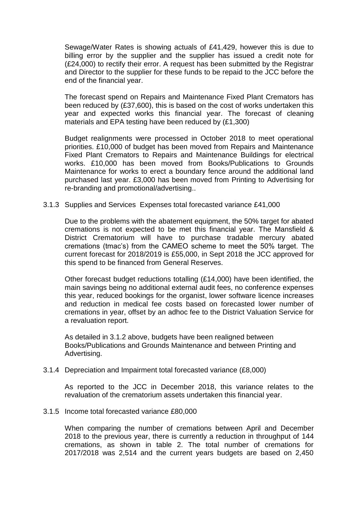Sewage/Water Rates is showing actuals of £41,429, however this is due to billing error by the supplier and the supplier has issued a credit note for (£24,000) to rectify their error. A request has been submitted by the Registrar and Director to the supplier for these funds to be repaid to the JCC before the end of the financial year.

The forecast spend on Repairs and Maintenance Fixed Plant Cremators has been reduced by (£37,600), this is based on the cost of works undertaken this year and expected works this financial year. The forecast of cleaning materials and EPA testing have been reduced by (£1,300)

Budget realignments were processed in October 2018 to meet operational priorities. £10,000 of budget has been moved from Repairs and Maintenance Fixed Plant Cremators to Repairs and Maintenance Buildings for electrical works. £10,000 has been moved from Books/Publications to Grounds Maintenance for works to erect a boundary fence around the additional land purchased last year. £3,000 has been moved from Printing to Advertising for re-branding and promotional/advertising..

3.1.3 Supplies and Services Expenses total forecasted variance £41,000

Due to the problems with the abatement equipment, the 50% target for abated cremations is not expected to be met this financial year. The Mansfield & District Crematorium will have to purchase tradable mercury abated cremations (tmac's) from the CAMEO scheme to meet the 50% target. The current forecast for 2018/2019 is £55,000, in Sept 2018 the JCC approved for this spend to be financed from General Reserves.

Other forecast budget reductions totalling (£14,000) have been identified, the main savings being no additional external audit fees, no conference expenses this year, reduced bookings for the organist, lower software licence increases and reduction in medical fee costs based on forecasted lower number of cremations in year, offset by an adhoc fee to the District Valuation Service for a revaluation report.

As detailed in 3.1.2 above, budgets have been realigned between Books/Publications and Grounds Maintenance and between Printing and Advertising.

#### 3.1.4 Depreciation and Impairment total forecasted variance (£8,000)

As reported to the JCC in December 2018, this variance relates to the revaluation of the crematorium assets undertaken this financial year.

#### 3.1.5 Income total forecasted variance £80,000

When comparing the number of cremations between April and December 2018 to the previous year, there is currently a reduction in throughput of 144 cremations, as shown in table 2. The total number of cremations for 2017/2018 was 2,514 and the current years budgets are based on 2,450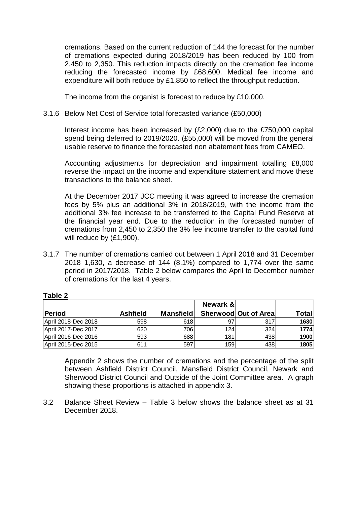cremations. Based on the current reduction of 144 the forecast for the number of cremations expected during 2018/2019 has been reduced by 100 from 2,450 to 2,350. This reduction impacts directly on the cremation fee income reducing the forecasted income by £68,600. Medical fee income and expenditure will both reduce by £1,850 to reflect the throughput reduction.

The income from the organist is forecast to reduce by £10,000.

#### 3.1.6 Below Net Cost of Service total forecasted variance (£50,000)

Interest income has been increased by (£2,000) due to the £750,000 capital spend being deferred to 2019/2020. (£55,000) will be moved from the general usable reserve to finance the forecasted non abatement fees from CAMEO.

Accounting adjustments for depreciation and impairment totalling £8,000 reverse the impact on the income and expenditure statement and move these transactions to the balance sheet.

At the December 2017 JCC meeting it was agreed to increase the cremation fees by 5% plus an additional 3% in 2018/2019, with the income from the additional 3% fee increase to be transferred to the Capital Fund Reserve at the financial year end. Due to the reduction in the forecasted number of cremations from 2,450 to 2,350 the 3% fee income transfer to the capital fund will reduce by (£1,900).

3.1.7 The number of cremations carried out between 1 April 2018 and 31 December 2018 1,630, a decrease of 144 (8.1%) compared to 1,774 over the same period in 2017/2018. Table 2 below compares the April to December number of cremations for the last 4 years.

|                     |                 |                  | Newark & |                      |       |
|---------------------|-----------------|------------------|----------|----------------------|-------|
| Period              | <b>Ashfield</b> | <b>Mansfield</b> |          | Sherwood Out of Area | Total |
| April 2018-Dec 2018 | 598             | 618l             | 97       | 317                  | 1630  |
| April 2017-Dec 2017 | 620             | 706              | 124      | 324                  | 1774  |
| April 2016-Dec 2016 | 593             | 688              | 181      | 438                  | 1900  |
| April 2015-Dec 2015 | 611             | 597              | 159      | 438                  | 1805  |

#### **Table 2**

Appendix 2 shows the number of cremations and the percentage of the split between Ashfield District Council, Mansfield District Council, Newark and Sherwood District Council and Outside of the Joint Committee area. A graph showing these proportions is attached in appendix 3.

3.2 Balance Sheet Review – Table 3 below shows the balance sheet as at 31 December 2018.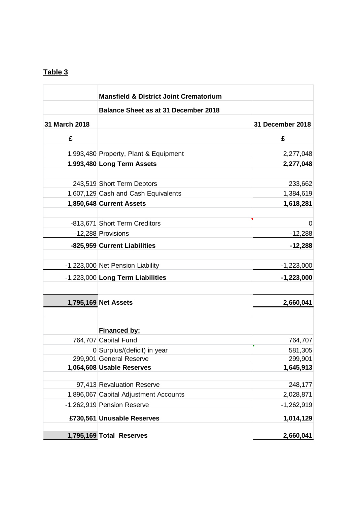# **Table 3**

|               | <b>Mansfield &amp; District Joint Crematorium</b> |                  |  |  |  |  |  |
|---------------|---------------------------------------------------|------------------|--|--|--|--|--|
|               | <b>Balance Sheet as at 31 December 2018</b>       |                  |  |  |  |  |  |
| 31 March 2018 |                                                   | 31 December 2018 |  |  |  |  |  |
| £             |                                                   | £                |  |  |  |  |  |
|               | 1,993,480 Property, Plant & Equipment             | 2,277,048        |  |  |  |  |  |
|               | 1,993,480 Long Term Assets                        | 2,277,048        |  |  |  |  |  |
|               | 243,519 Short Term Debtors                        | 233,662          |  |  |  |  |  |
|               | 1,607,129 Cash and Cash Equivalents               | 1,384,619        |  |  |  |  |  |
|               | 1,850,648 Current Assets                          | 1,618,281        |  |  |  |  |  |
|               | -813,671 Short Term Creditors                     | 0                |  |  |  |  |  |
|               | -12,288 Provisions                                | $-12,288$        |  |  |  |  |  |
|               | -825,959 Current Liabilities                      | $-12,288$        |  |  |  |  |  |
|               | -1,223,000 Net Pension Liability                  | $-1,223,000$     |  |  |  |  |  |
|               | -1,223,000 Long Term Liabilities                  | $-1,223,000$     |  |  |  |  |  |
|               |                                                   |                  |  |  |  |  |  |
|               | 1,795,169 Net Assets                              | 2,660,041        |  |  |  |  |  |
|               | <b>Financed by:</b>                               |                  |  |  |  |  |  |
|               | 764,707 Capital Fund                              | 764,707          |  |  |  |  |  |
|               | 0 Surplus/(deficit) in year                       | 581,305          |  |  |  |  |  |
|               | 299,901 General Reserve                           | 299,901          |  |  |  |  |  |
|               | 1,064,608 Usable Reserves                         | 1,645,913        |  |  |  |  |  |
|               | 97,413 Revaluation Reserve                        | 248,177          |  |  |  |  |  |
|               | 1,896,067 Capital Adjustment Accounts             | 2,028,871        |  |  |  |  |  |
|               | -1,262,919 Pension Reserve                        | $-1,262,919$     |  |  |  |  |  |
|               | £730,561 Unusable Reserves                        | 1,014,129        |  |  |  |  |  |
|               |                                                   |                  |  |  |  |  |  |
|               | 1,795,169 Total Reserves                          | 2,660,041        |  |  |  |  |  |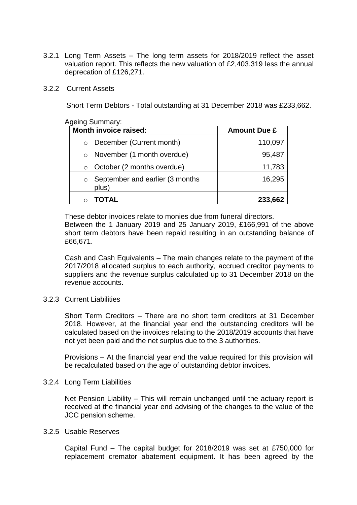3.2.1 Long Term Assets – The long term assets for 2018/2019 reflect the asset valuation report. This reflects the new valuation of £2,403,319 less the annual deprecation of £126,271.

#### 3.2.2 Current Assets

Short Term Debtors - Total outstanding at 31 December 2018 was £233,662.

#### Ageing Summary:

| <b>Month invoice raised:</b>                        | <b>Amount Due £</b> |
|-----------------------------------------------------|---------------------|
| December (Current month)<br>$\circ$                 | 110,097             |
| November (1 month overdue)<br>$\circ$               | 95,487              |
| October (2 months overdue)<br>$\circ$               | 11,783              |
| September and earlier (3 months<br>$\circ$<br>plus) | 16,295              |
|                                                     | 233,662             |

These debtor invoices relate to monies due from funeral directors.

Between the 1 January 2019 and 25 January 2019, £166,991 of the above short term debtors have been repaid resulting in an outstanding balance of £66,671.

Cash and Cash Equivalents – The main changes relate to the payment of the 2017/2018 allocated surplus to each authority, accrued creditor payments to suppliers and the revenue surplus calculated up to 31 December 2018 on the revenue accounts.

#### 3.2.3 Current Liabilities

Short Term Creditors – There are no short term creditors at 31 December 2018. However, at the financial year end the outstanding creditors will be calculated based on the invoices relating to the 2018/2019 accounts that have not yet been paid and the net surplus due to the 3 authorities.

Provisions – At the financial year end the value required for this provision will be recalculated based on the age of outstanding debtor invoices.

#### 3.2.4 Long Term Liabilities

Net Pension Liability – This will remain unchanged until the actuary report is received at the financial year end advising of the changes to the value of the JCC pension scheme.

#### 3.2.5 Usable Reserves

Capital Fund – The capital budget for 2018/2019 was set at £750,000 for replacement cremator abatement equipment. It has been agreed by the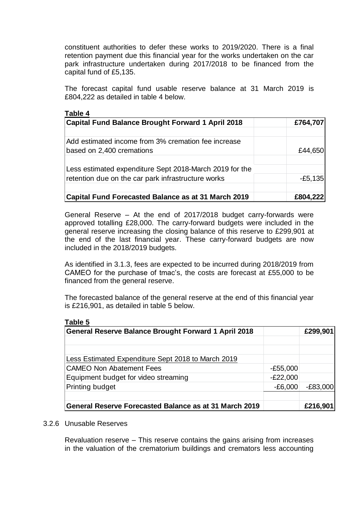constituent authorities to defer these works to 2019/2020. There is a final retention payment due this financial year for the works undertaken on the car park infrastructure undertaken during 2017/2018 to be financed from the capital fund of £5,135.

The forecast capital fund usable reserve balance at 31 March 2019 is £804,222 as detailed in table 4 below.

| Table 4                                                                          |           |
|----------------------------------------------------------------------------------|-----------|
| Capital Fund Balance Brought Forward 1 April 2018                                | £764,707  |
| Add estimated income from 3% cremation fee increase<br>based on 2,400 cremations | £44,650   |
| Less estimated expenditure Sept 2018-March 2019 for the                          |           |
| retention due on the car park infrastructure works                               | $-E5,135$ |
| <b>Capital Fund Forecasted Balance as at 31 March 2019</b>                       | £804,222  |

General Reserve – At the end of 2017/2018 budget carry-forwards were approved totalling £28,000. The carry-forward budgets were included in the general reserve increasing the closing balance of this reserve to £299,901 at the end of the last financial year. These carry-forward budgets are now included in the 2018/2019 budgets.

As identified in 3.1.3, fees are expected to be incurred during 2018/2019 from CAMEO for the purchase of tmac's, the costs are forecast at £55,000 to be financed from the general reserve.

The forecasted balance of the general reserve at the end of this financial year is £216,901, as detailed in table 5 below.

| <b>General Reserve Balance Brought Forward 1 April 2018</b> |            | £299,901   |
|-------------------------------------------------------------|------------|------------|
| Less Estimated Expenditure Sept 2018 to March 2019          |            |            |
| <b>CAMEO Non Abatement Fees</b>                             | $-E55,000$ |            |
| Equipment budget for video streaming                        | $-E22,000$ |            |
| <b>Printing budget</b>                                      | $-E6,000$  | $-E83,000$ |
| General Reserve Forecasted Balance as at 31 March 2019      |            | £216,901   |

#### 3.2.6 Unusable Reserves

**Table 5**

Revaluation reserve – This reserve contains the gains arising from increases in the valuation of the crematorium buildings and cremators less accounting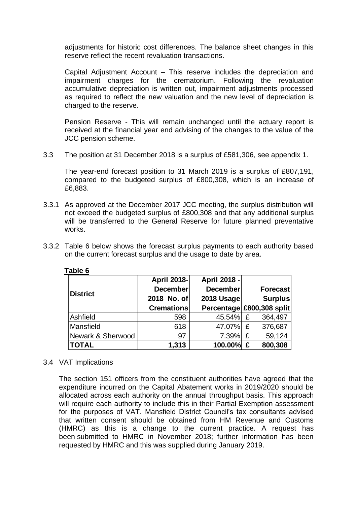adjustments for historic cost differences. The balance sheet changes in this reserve reflect the recent revaluation transactions.

Capital Adjustment Account – This reserve includes the depreciation and impairment charges for the crematorium. Following the revaluation accumulative depreciation is written out, impairment adjustments processed as required to reflect the new valuation and the new level of depreciation is charged to the reserve.

Pension Reserve - This will remain unchanged until the actuary report is received at the financial year end advising of the changes to the value of the JCC pension scheme.

3.3 The position at 31 December 2018 is a surplus of £581,306, see appendix 1.

The year-end forecast position to 31 March 2019 is a surplus of £807,191, compared to the budgeted surplus of £800,308, which is an increase of £6,883.

- 3.3.1 As approved at the December 2017 JCC meeting, the surplus distribution will not exceed the budgeted surplus of £800,308 and that any additional surplus will be transferred to the General Reserve for future planned preventative works.
- 3.3.2 Table 6 below shows the forecast surplus payments to each authority based on the current forecast surplus and the usage to date by area.

| <b>District</b>   | April 2018-<br>December<br>2018 No. of<br><b>Cremations</b> | <b>April 2018 -</b><br><b>December</b><br>2018 Usage<br>Percentage £800,308 split |   | Forecast<br><b>Surplus</b> |
|-------------------|-------------------------------------------------------------|-----------------------------------------------------------------------------------|---|----------------------------|
| Ashfield          | 598                                                         | 45.54%                                                                            | £ | 364,497                    |
| Mansfield         | 618                                                         | 47.07%                                                                            | £ | 376,687                    |
| Newark & Sherwood | 97                                                          | 7.39%                                                                             | £ | 59,124                     |
| <b>TOTAL</b>      | 1,313                                                       | 100.00%                                                                           | £ | 800,308                    |

#### **Table 6**

#### 3.4 VAT Implications

The section 151 officers from the constituent authorities have agreed that the expenditure incurred on the Capital Abatement works in 2019/2020 should be allocated across each authority on the annual throughput basis. This approach will require each authority to include this in their Partial Exemption assessment for the purposes of VAT. Mansfield District Council's tax consultants advised that written consent should be obtained from HM Revenue and Customs (HMRC) as this is a change to the current practice. A request has been submitted to HMRC in November 2018; further information has been requested by HMRC and this was supplied during January 2019.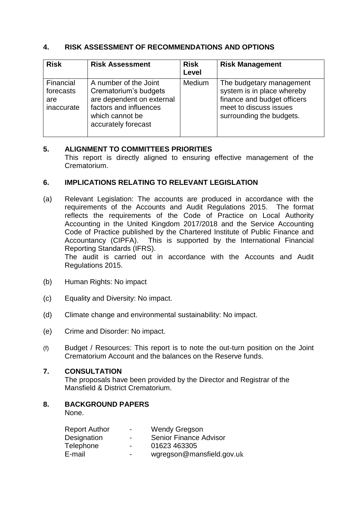## **4. RISK ASSESSMENT OF RECOMMENDATIONS AND OPTIONS**

| <b>Risk</b>                                 | <b>Risk Assessment</b>                                                                                                                          | <b>Risk</b><br>Level | <b>Risk Management</b>                                                                                                                      |
|---------------------------------------------|-------------------------------------------------------------------------------------------------------------------------------------------------|----------------------|---------------------------------------------------------------------------------------------------------------------------------------------|
| Financial<br>forecasts<br>are<br>inaccurate | A number of the Joint<br>Crematorium's budgets<br>are dependent on external<br>factors and influences<br>which cannot be<br>accurately forecast | Medium               | The budgetary management<br>system is in place whereby<br>finance and budget officers<br>meet to discuss issues<br>surrounding the budgets. |

## **5. ALIGNMENT TO COMMITTEES PRIORITIES**

This report is directly aligned to ensuring effective management of the Crematorium.

### **6. IMPLICATIONS RELATING TO RELEVANT LEGISLATION**

(a) Relevant Legislation: The accounts are produced in accordance with the requirements of the Accounts and Audit Regulations 2015. The format reflects the requirements of the Code of Practice on Local Authority Accounting in the United Kingdom 2017/2018 and the Service Accounting Code of Practice published by the Chartered Institute of Public Finance and Accountancy (CIPFA). This is supported by the International Financial Reporting Standards (IFRS).

The audit is carried out in accordance with the Accounts and Audit Regulations 2015.

- (b) Human Rights: No impact
- (c) Equality and Diversity: No impact.
- (d) Climate change and environmental sustainability: No impact.
- (e) Crime and Disorder: No impact.
- (f) Budget / Resources: This report is to note the out-turn position on the Joint Crematorium Account and the balances on the Reserve funds.

## **7. CONSULTATION**

The proposals have been provided by the Director and Registrar of the Mansfield & District Crematorium.

## **8. BACKGROUND PAPERS**

None.

| <b>Report Author</b> | $\overline{\phantom{0}}$ | <b>Wendy Gregson</b>          |
|----------------------|--------------------------|-------------------------------|
| Designation          | $\blacksquare$           | <b>Senior Finance Advisor</b> |
| Telephone            | $\overline{\phantom{0}}$ | 01623 463305                  |
| E-mail               | $\overline{\phantom{0}}$ | wgregson@mansfield.gov.uk     |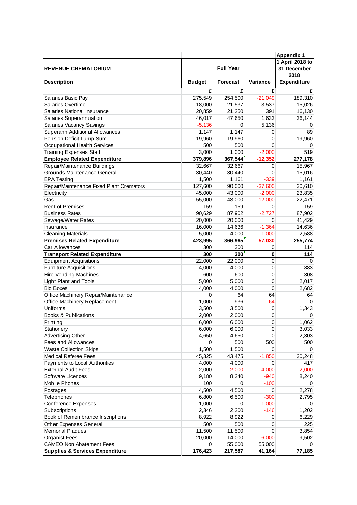|                                            |                  |          |           | <b>Appendix 1</b>                      |  |
|--------------------------------------------|------------------|----------|-----------|----------------------------------------|--|
| <b>REVENUE CREMATORIUM</b>                 | <b>Full Year</b> |          |           | 1 April 2018 to<br>31 December<br>2018 |  |
| <b>Description</b>                         | <b>Budget</b>    | Forecast | Variance  | <b>Expenditure</b>                     |  |
|                                            | £                | £        | £         | £                                      |  |
| Salaries Basic Pay                         | 275,549          | 254,500  | $-21,049$ | 189,310                                |  |
| Salaries Overtime                          | 18,000           | 21,537   | 3,537     | 15,026                                 |  |
| Salaries National Insurance                | 20,859           | 21,250   | 391       | 16,130                                 |  |
| Salaries Superannuation                    | 46,017           | 47,650   | 1,633     | 36,144                                 |  |
| <b>Salaries Vacancy Savings</b>            | $-5,136$         | 0        | 5,136     | 0                                      |  |
| Superann Additional Allowances             | 1,147            | 1,147    | 0         | 89                                     |  |
| Pension Deficit Lump Sum                   | 19,960           | 19,960   | 0         | 19,960                                 |  |
| <b>Occupational Health Services</b>        | 500              | 500      | 0         | 0                                      |  |
| <b>Training Expenses Staff</b>             | 3,000            | 1,000    | $-2,000$  | 519                                    |  |
| <b>Employee Related Expenditure</b>        | 379,896          | 367,544  | $-12,352$ | 277,178                                |  |
| Repair/Maintenance Buildings               | 32,667           | 32,667   | 0         | 15,967                                 |  |
| Grounds Maintenance General                | 30,440           | 30,440   | 0         | 15,016                                 |  |
|                                            | 1,500            | 1,161    | $-339$    | 1,161                                  |  |
| <b>EPA Testing</b>                         |                  |          |           |                                        |  |
| Repair/Maintenance Fixed Plant Cremators   | 127,600          | 90,000   | $-37,600$ | 30,610                                 |  |
| Electricity                                | 45,000           | 43,000   | $-2,000$  | 23,835                                 |  |
| Gas                                        | 55,000           | 43,000   | $-12,000$ | 22,471                                 |  |
| <b>Rent of Premises</b>                    | 159              | 159      | 0         | 159                                    |  |
| <b>Business Rates</b>                      | 90,629           | 87,902   | $-2,727$  | 87,902                                 |  |
| Sewage/Water Rates                         | 20,000           | 20,000   | 0         | 41,429                                 |  |
| Insurance                                  | 16,000           | 14,636   | $-1,364$  | 14,636                                 |  |
| <b>Cleaning Materials</b>                  | 5,000            | 4,000    | $-1,000$  | 2,588                                  |  |
| <b>Premises Related Expenditure</b>        | 423,995          | 366,965  | $-57,030$ | 255,774                                |  |
| Car Allowances                             | 300              | 300      | 0         | 114                                    |  |
| <b>Transport Related Expenditure</b>       | 300              | 300      | 0         | 114                                    |  |
| <b>Equipment Acquisitions</b>              | 22,000           | 22,000   | 0         | 0                                      |  |
| <b>Furniture Acquisitions</b>              | 4,000            | 4,000    | 0         | 883                                    |  |
| <b>Hire Vending Machines</b>               | 600              | 600      | 0         | 308                                    |  |
| <b>Light Plant and Tools</b>               | 5,000            | 5,000    | 0         | 2,017                                  |  |
| <b>Bio Boxes</b>                           | 4,000            | 4,000    | 0         | 2,682                                  |  |
| Office Machinery Repair/Maintenance        | 0                | 64       | 64        | 64                                     |  |
| Office Machinery Replacement               | 1,000            | 936      | $-64$     | $\Omega$                               |  |
| Uniforms                                   | 3,500            | 3,500    | 0         | 1,343                                  |  |
| <b>Books &amp; Publications</b>            | 2,000            | 2,000    | 0         | 0                                      |  |
| Printing                                   | 6,000            | 6,000    | 0         | 1,062                                  |  |
| Stationery                                 | 6,000            | 6,000    | 0         | 3,033                                  |  |
| Advertising Other                          | 4,650            | 4,650    | 0         | 2,303                                  |  |
| Fees and Allowances                        | 0                | 500      | 500       | 500                                    |  |
| <b>Waste Collection Skips</b>              | 1,500            | 1,500    | 0         | 0                                      |  |
| <b>Medical Referee Fees</b>                | 45,325           | 43,475   | $-1,850$  | 30,248                                 |  |
| Payments to Local Authorities              | 4,000            | 4,000    | 0         | 417                                    |  |
| <b>External Audit Fees</b>                 | 2,000            | $-2,000$ | $-4,000$  | $-2,000$                               |  |
| Software Licences                          | 9,180            | 8,240    | $-940$    | 8,240                                  |  |
| Mobile Phones                              | 100              | 0        | $-100$    | 0                                      |  |
| Postages                                   | 4,500            | 4,500    | 0         | 2,278                                  |  |
| Telephones                                 | 6,800            | 6,500    | $-300$    | 2,795                                  |  |
| <b>Conference Expenses</b>                 | 1,000            | 0        | $-1,000$  | 0                                      |  |
| Subscriptions                              | 2,346            | 2,200    | $-146$    | 1,202                                  |  |
| Book of Remembrance Inscriptions           | 8,922            | 8,922    | 0         | 6,229                                  |  |
| <b>Other Expenses General</b>              | 500              | 500      | 0         | 225                                    |  |
| <b>Memorial Plaques</b>                    | 11,500           | 11,500   | 0         | 3,854                                  |  |
| <b>Organist Fees</b>                       | 20,000           | 14,000   | $-6,000$  | 9,502                                  |  |
| <b>CAMEO Non Abatement Fees</b>            | 0                | 55,000   | 55,000    | 0                                      |  |
| <b>Supplies &amp; Services Expenditure</b> | 176,423          | 217,587  | 41,164    | 77,185                                 |  |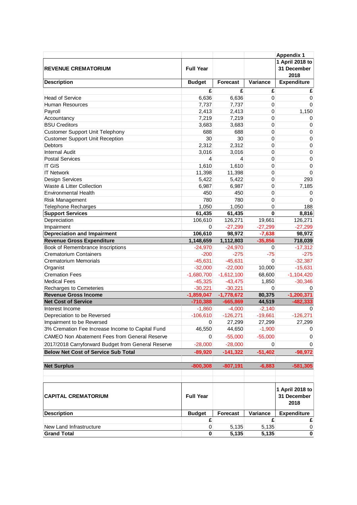| <b>Full Year</b><br>31 December<br><b>REVENUE CREMATORIUM</b><br>2018<br>Variance<br><b>Expenditure</b><br><b>Description</b><br><b>Budget</b><br><b>Forecast</b><br>£<br>£<br>£<br>£<br>6,636<br>6,636<br><b>Head of Service</b><br>0<br>0<br>7,737<br>Human Resources<br>7,737<br>0<br>0<br>2,413<br>0<br>1,150<br>Payroll<br>2,413<br>7,219<br>7,219<br>0<br>Accountancy<br>0<br><b>BSU Creditors</b><br>3,683<br>0<br>3,683<br>0<br><b>Customer Support Unit Telephony</b><br>688<br>688<br>0<br>$\boldsymbol{0}$<br>30<br><b>Customer Support Unit Reception</b><br>30<br>0<br>$\boldsymbol{0}$<br><b>Debtors</b><br>2,312<br>2,312<br>0<br>$\mathbf 0$<br><b>Internal Audit</b><br>$\mathbf 0$<br>3,016<br>3,016<br>0<br>0<br>0<br><b>Postal Services</b><br>4<br>4<br><b>IT GIS</b><br>1,610<br>0<br>$\mathbf 0$<br>1,610<br><b>IT Network</b><br>11,398<br>0<br>$\overline{0}$<br>11,398<br>5,422<br>0<br><b>Design Services</b><br>5,422<br>Waste & Litter Collection<br>6,987<br>6,987<br>0<br>7,185<br>450<br>450<br><b>Environmental Health</b><br>0<br>0<br>780<br>780<br>0<br>Risk Management<br>1,050<br><b>Telephone Recharges</b><br>1,050<br>0<br>188<br><b>Support Services</b><br>61,435<br>61,435<br>0<br>8,816<br>Depreciation<br>106,610<br>126,271<br>126,271<br>19,661<br>Impairment<br>$-27,299$<br>$-27,299$<br>0<br>$-27,299$<br>106,610<br><b>Depreciation and Impairment</b><br>98,972<br>$-7,638$<br>98,972<br>$-35,856$<br><b>Revenue Gross Expenditure</b><br>1,148,659<br>1,112,803<br>718,039<br>Book of Remembrance Inscriptions<br>$-17,312$<br>$-24,970$<br>$-24,970$<br>0<br><b>Crematorium Containers</b><br>$-200$<br>$-275$<br>$-75$<br>$-45,631$<br>$-45,631$<br>0<br>$-32,387$<br><b>Crematorium Memorials</b><br>Organist<br>$-32,000$<br>$-22,000$<br>10,000<br>$-15,631$<br><b>Cremation Fees</b><br>$-1,680,700$<br>$-1,612,100$<br>68,600<br>$-1,104,420$<br>$-45,325$<br>$-43,475$<br><b>Medical Fees</b><br>1,850<br>$-30,221$<br>Recharges to Cemeteries<br>$-30,221$<br>0<br>0<br>$-1,859,047$<br>80,375<br>$-1,200,371$<br><b>Revenue Gross Income</b><br>$-1,778,672$<br>$-665,869$<br>44,519<br>$-482,333$<br><b>Net Cost of Service</b><br>$-710,388$<br>$-2,140$<br>Interest Income<br>$-1,860$<br>$-4,000$<br>0<br>$-126,271$<br>Depreciation to be Reversed<br>$-106,610$<br>$-126,271$<br>$-19,661$<br>27,299<br>Impairment to be Reversed<br>0<br>27,299<br>27,299<br>3% Cremation Fee Increase Income to Capital Fund<br>46,550<br>44,650<br>$-1,900$<br>0<br>CAMEO Non Abatement Fees from General Reserve<br>$-55,000$<br>$-55,000$<br>0<br>0<br>2017/2018 Carryforward Budget from General Reserve<br>$-28,000$<br>$-28,000$<br>0<br>0<br><b>Below Net Cost of Service Sub Total</b><br>$-141,322$<br>$-51,402$<br>$-98,972$<br>$-89,920$<br><b>Net Surplus</b><br>$-800,308$<br>$-807,191$<br>$-6,883$<br>$-581,305$<br>1 April 2018 to<br><b>Full Year</b><br>31 December<br><b>CAPITAL CREMATORIUM</b><br>2018<br>Variance<br><b>Description</b><br><b>Budget</b><br><b>Forecast</b><br><b>Expenditure</b><br>£<br>£<br>£<br>New Land Infrastructure<br>5,135<br>5,135<br>0<br>0<br>0<br><b>Grand Total</b><br>5,135<br>5,135<br>0 |  |  | <b>Appendix 1</b> |
|---------------------------------------------------------------------------------------------------------------------------------------------------------------------------------------------------------------------------------------------------------------------------------------------------------------------------------------------------------------------------------------------------------------------------------------------------------------------------------------------------------------------------------------------------------------------------------------------------------------------------------------------------------------------------------------------------------------------------------------------------------------------------------------------------------------------------------------------------------------------------------------------------------------------------------------------------------------------------------------------------------------------------------------------------------------------------------------------------------------------------------------------------------------------------------------------------------------------------------------------------------------------------------------------------------------------------------------------------------------------------------------------------------------------------------------------------------------------------------------------------------------------------------------------------------------------------------------------------------------------------------------------------------------------------------------------------------------------------------------------------------------------------------------------------------------------------------------------------------------------------------------------------------------------------------------------------------------------------------------------------------------------------------------------------------------------------------------------------------------------------------------------------------------------------------------------------------------------------------------------------------------------------------------------------------------------------------------------------------------------------------------------------------------------------------------------------------------------------------------------------------------------------------------------------------------------------------------------------------------------------------------------------------------------------------------------------------------------------------------------------------------------------------------------------------------------------------------------------------------------------------------------------------------------------------------------------------------------------------------------------------------------------------------------------------------------------------------------------------------------------------------------------------------------------------------------------------|--|--|-------------------|
|                                                                                                                                                                                                                                                                                                                                                                                                                                                                                                                                                                                                                                                                                                                                                                                                                                                                                                                                                                                                                                                                                                                                                                                                                                                                                                                                                                                                                                                                                                                                                                                                                                                                                                                                                                                                                                                                                                                                                                                                                                                                                                                                                                                                                                                                                                                                                                                                                                                                                                                                                                                                                                                                                                                                                                                                                                                                                                                                                                                                                                                                                                                                                                                                         |  |  | 1 April 2018 to   |
|                                                                                                                                                                                                                                                                                                                                                                                                                                                                                                                                                                                                                                                                                                                                                                                                                                                                                                                                                                                                                                                                                                                                                                                                                                                                                                                                                                                                                                                                                                                                                                                                                                                                                                                                                                                                                                                                                                                                                                                                                                                                                                                                                                                                                                                                                                                                                                                                                                                                                                                                                                                                                                                                                                                                                                                                                                                                                                                                                                                                                                                                                                                                                                                                         |  |  |                   |
|                                                                                                                                                                                                                                                                                                                                                                                                                                                                                                                                                                                                                                                                                                                                                                                                                                                                                                                                                                                                                                                                                                                                                                                                                                                                                                                                                                                                                                                                                                                                                                                                                                                                                                                                                                                                                                                                                                                                                                                                                                                                                                                                                                                                                                                                                                                                                                                                                                                                                                                                                                                                                                                                                                                                                                                                                                                                                                                                                                                                                                                                                                                                                                                                         |  |  |                   |
|                                                                                                                                                                                                                                                                                                                                                                                                                                                                                                                                                                                                                                                                                                                                                                                                                                                                                                                                                                                                                                                                                                                                                                                                                                                                                                                                                                                                                                                                                                                                                                                                                                                                                                                                                                                                                                                                                                                                                                                                                                                                                                                                                                                                                                                                                                                                                                                                                                                                                                                                                                                                                                                                                                                                                                                                                                                                                                                                                                                                                                                                                                                                                                                                         |  |  |                   |
|                                                                                                                                                                                                                                                                                                                                                                                                                                                                                                                                                                                                                                                                                                                                                                                                                                                                                                                                                                                                                                                                                                                                                                                                                                                                                                                                                                                                                                                                                                                                                                                                                                                                                                                                                                                                                                                                                                                                                                                                                                                                                                                                                                                                                                                                                                                                                                                                                                                                                                                                                                                                                                                                                                                                                                                                                                                                                                                                                                                                                                                                                                                                                                                                         |  |  |                   |
|                                                                                                                                                                                                                                                                                                                                                                                                                                                                                                                                                                                                                                                                                                                                                                                                                                                                                                                                                                                                                                                                                                                                                                                                                                                                                                                                                                                                                                                                                                                                                                                                                                                                                                                                                                                                                                                                                                                                                                                                                                                                                                                                                                                                                                                                                                                                                                                                                                                                                                                                                                                                                                                                                                                                                                                                                                                                                                                                                                                                                                                                                                                                                                                                         |  |  |                   |
|                                                                                                                                                                                                                                                                                                                                                                                                                                                                                                                                                                                                                                                                                                                                                                                                                                                                                                                                                                                                                                                                                                                                                                                                                                                                                                                                                                                                                                                                                                                                                                                                                                                                                                                                                                                                                                                                                                                                                                                                                                                                                                                                                                                                                                                                                                                                                                                                                                                                                                                                                                                                                                                                                                                                                                                                                                                                                                                                                                                                                                                                                                                                                                                                         |  |  |                   |
|                                                                                                                                                                                                                                                                                                                                                                                                                                                                                                                                                                                                                                                                                                                                                                                                                                                                                                                                                                                                                                                                                                                                                                                                                                                                                                                                                                                                                                                                                                                                                                                                                                                                                                                                                                                                                                                                                                                                                                                                                                                                                                                                                                                                                                                                                                                                                                                                                                                                                                                                                                                                                                                                                                                                                                                                                                                                                                                                                                                                                                                                                                                                                                                                         |  |  |                   |
|                                                                                                                                                                                                                                                                                                                                                                                                                                                                                                                                                                                                                                                                                                                                                                                                                                                                                                                                                                                                                                                                                                                                                                                                                                                                                                                                                                                                                                                                                                                                                                                                                                                                                                                                                                                                                                                                                                                                                                                                                                                                                                                                                                                                                                                                                                                                                                                                                                                                                                                                                                                                                                                                                                                                                                                                                                                                                                                                                                                                                                                                                                                                                                                                         |  |  |                   |
|                                                                                                                                                                                                                                                                                                                                                                                                                                                                                                                                                                                                                                                                                                                                                                                                                                                                                                                                                                                                                                                                                                                                                                                                                                                                                                                                                                                                                                                                                                                                                                                                                                                                                                                                                                                                                                                                                                                                                                                                                                                                                                                                                                                                                                                                                                                                                                                                                                                                                                                                                                                                                                                                                                                                                                                                                                                                                                                                                                                                                                                                                                                                                                                                         |  |  |                   |
|                                                                                                                                                                                                                                                                                                                                                                                                                                                                                                                                                                                                                                                                                                                                                                                                                                                                                                                                                                                                                                                                                                                                                                                                                                                                                                                                                                                                                                                                                                                                                                                                                                                                                                                                                                                                                                                                                                                                                                                                                                                                                                                                                                                                                                                                                                                                                                                                                                                                                                                                                                                                                                                                                                                                                                                                                                                                                                                                                                                                                                                                                                                                                                                                         |  |  |                   |
|                                                                                                                                                                                                                                                                                                                                                                                                                                                                                                                                                                                                                                                                                                                                                                                                                                                                                                                                                                                                                                                                                                                                                                                                                                                                                                                                                                                                                                                                                                                                                                                                                                                                                                                                                                                                                                                                                                                                                                                                                                                                                                                                                                                                                                                                                                                                                                                                                                                                                                                                                                                                                                                                                                                                                                                                                                                                                                                                                                                                                                                                                                                                                                                                         |  |  |                   |
|                                                                                                                                                                                                                                                                                                                                                                                                                                                                                                                                                                                                                                                                                                                                                                                                                                                                                                                                                                                                                                                                                                                                                                                                                                                                                                                                                                                                                                                                                                                                                                                                                                                                                                                                                                                                                                                                                                                                                                                                                                                                                                                                                                                                                                                                                                                                                                                                                                                                                                                                                                                                                                                                                                                                                                                                                                                                                                                                                                                                                                                                                                                                                                                                         |  |  |                   |
|                                                                                                                                                                                                                                                                                                                                                                                                                                                                                                                                                                                                                                                                                                                                                                                                                                                                                                                                                                                                                                                                                                                                                                                                                                                                                                                                                                                                                                                                                                                                                                                                                                                                                                                                                                                                                                                                                                                                                                                                                                                                                                                                                                                                                                                                                                                                                                                                                                                                                                                                                                                                                                                                                                                                                                                                                                                                                                                                                                                                                                                                                                                                                                                                         |  |  |                   |
|                                                                                                                                                                                                                                                                                                                                                                                                                                                                                                                                                                                                                                                                                                                                                                                                                                                                                                                                                                                                                                                                                                                                                                                                                                                                                                                                                                                                                                                                                                                                                                                                                                                                                                                                                                                                                                                                                                                                                                                                                                                                                                                                                                                                                                                                                                                                                                                                                                                                                                                                                                                                                                                                                                                                                                                                                                                                                                                                                                                                                                                                                                                                                                                                         |  |  |                   |
|                                                                                                                                                                                                                                                                                                                                                                                                                                                                                                                                                                                                                                                                                                                                                                                                                                                                                                                                                                                                                                                                                                                                                                                                                                                                                                                                                                                                                                                                                                                                                                                                                                                                                                                                                                                                                                                                                                                                                                                                                                                                                                                                                                                                                                                                                                                                                                                                                                                                                                                                                                                                                                                                                                                                                                                                                                                                                                                                                                                                                                                                                                                                                                                                         |  |  | 293               |
|                                                                                                                                                                                                                                                                                                                                                                                                                                                                                                                                                                                                                                                                                                                                                                                                                                                                                                                                                                                                                                                                                                                                                                                                                                                                                                                                                                                                                                                                                                                                                                                                                                                                                                                                                                                                                                                                                                                                                                                                                                                                                                                                                                                                                                                                                                                                                                                                                                                                                                                                                                                                                                                                                                                                                                                                                                                                                                                                                                                                                                                                                                                                                                                                         |  |  |                   |
|                                                                                                                                                                                                                                                                                                                                                                                                                                                                                                                                                                                                                                                                                                                                                                                                                                                                                                                                                                                                                                                                                                                                                                                                                                                                                                                                                                                                                                                                                                                                                                                                                                                                                                                                                                                                                                                                                                                                                                                                                                                                                                                                                                                                                                                                                                                                                                                                                                                                                                                                                                                                                                                                                                                                                                                                                                                                                                                                                                                                                                                                                                                                                                                                         |  |  |                   |
|                                                                                                                                                                                                                                                                                                                                                                                                                                                                                                                                                                                                                                                                                                                                                                                                                                                                                                                                                                                                                                                                                                                                                                                                                                                                                                                                                                                                                                                                                                                                                                                                                                                                                                                                                                                                                                                                                                                                                                                                                                                                                                                                                                                                                                                                                                                                                                                                                                                                                                                                                                                                                                                                                                                                                                                                                                                                                                                                                                                                                                                                                                                                                                                                         |  |  | 0                 |
|                                                                                                                                                                                                                                                                                                                                                                                                                                                                                                                                                                                                                                                                                                                                                                                                                                                                                                                                                                                                                                                                                                                                                                                                                                                                                                                                                                                                                                                                                                                                                                                                                                                                                                                                                                                                                                                                                                                                                                                                                                                                                                                                                                                                                                                                                                                                                                                                                                                                                                                                                                                                                                                                                                                                                                                                                                                                                                                                                                                                                                                                                                                                                                                                         |  |  |                   |
|                                                                                                                                                                                                                                                                                                                                                                                                                                                                                                                                                                                                                                                                                                                                                                                                                                                                                                                                                                                                                                                                                                                                                                                                                                                                                                                                                                                                                                                                                                                                                                                                                                                                                                                                                                                                                                                                                                                                                                                                                                                                                                                                                                                                                                                                                                                                                                                                                                                                                                                                                                                                                                                                                                                                                                                                                                                                                                                                                                                                                                                                                                                                                                                                         |  |  |                   |
|                                                                                                                                                                                                                                                                                                                                                                                                                                                                                                                                                                                                                                                                                                                                                                                                                                                                                                                                                                                                                                                                                                                                                                                                                                                                                                                                                                                                                                                                                                                                                                                                                                                                                                                                                                                                                                                                                                                                                                                                                                                                                                                                                                                                                                                                                                                                                                                                                                                                                                                                                                                                                                                                                                                                                                                                                                                                                                                                                                                                                                                                                                                                                                                                         |  |  |                   |
|                                                                                                                                                                                                                                                                                                                                                                                                                                                                                                                                                                                                                                                                                                                                                                                                                                                                                                                                                                                                                                                                                                                                                                                                                                                                                                                                                                                                                                                                                                                                                                                                                                                                                                                                                                                                                                                                                                                                                                                                                                                                                                                                                                                                                                                                                                                                                                                                                                                                                                                                                                                                                                                                                                                                                                                                                                                                                                                                                                                                                                                                                                                                                                                                         |  |  |                   |
|                                                                                                                                                                                                                                                                                                                                                                                                                                                                                                                                                                                                                                                                                                                                                                                                                                                                                                                                                                                                                                                                                                                                                                                                                                                                                                                                                                                                                                                                                                                                                                                                                                                                                                                                                                                                                                                                                                                                                                                                                                                                                                                                                                                                                                                                                                                                                                                                                                                                                                                                                                                                                                                                                                                                                                                                                                                                                                                                                                                                                                                                                                                                                                                                         |  |  |                   |
|                                                                                                                                                                                                                                                                                                                                                                                                                                                                                                                                                                                                                                                                                                                                                                                                                                                                                                                                                                                                                                                                                                                                                                                                                                                                                                                                                                                                                                                                                                                                                                                                                                                                                                                                                                                                                                                                                                                                                                                                                                                                                                                                                                                                                                                                                                                                                                                                                                                                                                                                                                                                                                                                                                                                                                                                                                                                                                                                                                                                                                                                                                                                                                                                         |  |  |                   |
|                                                                                                                                                                                                                                                                                                                                                                                                                                                                                                                                                                                                                                                                                                                                                                                                                                                                                                                                                                                                                                                                                                                                                                                                                                                                                                                                                                                                                                                                                                                                                                                                                                                                                                                                                                                                                                                                                                                                                                                                                                                                                                                                                                                                                                                                                                                                                                                                                                                                                                                                                                                                                                                                                                                                                                                                                                                                                                                                                                                                                                                                                                                                                                                                         |  |  |                   |
|                                                                                                                                                                                                                                                                                                                                                                                                                                                                                                                                                                                                                                                                                                                                                                                                                                                                                                                                                                                                                                                                                                                                                                                                                                                                                                                                                                                                                                                                                                                                                                                                                                                                                                                                                                                                                                                                                                                                                                                                                                                                                                                                                                                                                                                                                                                                                                                                                                                                                                                                                                                                                                                                                                                                                                                                                                                                                                                                                                                                                                                                                                                                                                                                         |  |  | $-275$            |
|                                                                                                                                                                                                                                                                                                                                                                                                                                                                                                                                                                                                                                                                                                                                                                                                                                                                                                                                                                                                                                                                                                                                                                                                                                                                                                                                                                                                                                                                                                                                                                                                                                                                                                                                                                                                                                                                                                                                                                                                                                                                                                                                                                                                                                                                                                                                                                                                                                                                                                                                                                                                                                                                                                                                                                                                                                                                                                                                                                                                                                                                                                                                                                                                         |  |  |                   |
|                                                                                                                                                                                                                                                                                                                                                                                                                                                                                                                                                                                                                                                                                                                                                                                                                                                                                                                                                                                                                                                                                                                                                                                                                                                                                                                                                                                                                                                                                                                                                                                                                                                                                                                                                                                                                                                                                                                                                                                                                                                                                                                                                                                                                                                                                                                                                                                                                                                                                                                                                                                                                                                                                                                                                                                                                                                                                                                                                                                                                                                                                                                                                                                                         |  |  |                   |
|                                                                                                                                                                                                                                                                                                                                                                                                                                                                                                                                                                                                                                                                                                                                                                                                                                                                                                                                                                                                                                                                                                                                                                                                                                                                                                                                                                                                                                                                                                                                                                                                                                                                                                                                                                                                                                                                                                                                                                                                                                                                                                                                                                                                                                                                                                                                                                                                                                                                                                                                                                                                                                                                                                                                                                                                                                                                                                                                                                                                                                                                                                                                                                                                         |  |  |                   |
|                                                                                                                                                                                                                                                                                                                                                                                                                                                                                                                                                                                                                                                                                                                                                                                                                                                                                                                                                                                                                                                                                                                                                                                                                                                                                                                                                                                                                                                                                                                                                                                                                                                                                                                                                                                                                                                                                                                                                                                                                                                                                                                                                                                                                                                                                                                                                                                                                                                                                                                                                                                                                                                                                                                                                                                                                                                                                                                                                                                                                                                                                                                                                                                                         |  |  | $-30,346$         |
|                                                                                                                                                                                                                                                                                                                                                                                                                                                                                                                                                                                                                                                                                                                                                                                                                                                                                                                                                                                                                                                                                                                                                                                                                                                                                                                                                                                                                                                                                                                                                                                                                                                                                                                                                                                                                                                                                                                                                                                                                                                                                                                                                                                                                                                                                                                                                                                                                                                                                                                                                                                                                                                                                                                                                                                                                                                                                                                                                                                                                                                                                                                                                                                                         |  |  |                   |
|                                                                                                                                                                                                                                                                                                                                                                                                                                                                                                                                                                                                                                                                                                                                                                                                                                                                                                                                                                                                                                                                                                                                                                                                                                                                                                                                                                                                                                                                                                                                                                                                                                                                                                                                                                                                                                                                                                                                                                                                                                                                                                                                                                                                                                                                                                                                                                                                                                                                                                                                                                                                                                                                                                                                                                                                                                                                                                                                                                                                                                                                                                                                                                                                         |  |  |                   |
|                                                                                                                                                                                                                                                                                                                                                                                                                                                                                                                                                                                                                                                                                                                                                                                                                                                                                                                                                                                                                                                                                                                                                                                                                                                                                                                                                                                                                                                                                                                                                                                                                                                                                                                                                                                                                                                                                                                                                                                                                                                                                                                                                                                                                                                                                                                                                                                                                                                                                                                                                                                                                                                                                                                                                                                                                                                                                                                                                                                                                                                                                                                                                                                                         |  |  |                   |
|                                                                                                                                                                                                                                                                                                                                                                                                                                                                                                                                                                                                                                                                                                                                                                                                                                                                                                                                                                                                                                                                                                                                                                                                                                                                                                                                                                                                                                                                                                                                                                                                                                                                                                                                                                                                                                                                                                                                                                                                                                                                                                                                                                                                                                                                                                                                                                                                                                                                                                                                                                                                                                                                                                                                                                                                                                                                                                                                                                                                                                                                                                                                                                                                         |  |  |                   |
|                                                                                                                                                                                                                                                                                                                                                                                                                                                                                                                                                                                                                                                                                                                                                                                                                                                                                                                                                                                                                                                                                                                                                                                                                                                                                                                                                                                                                                                                                                                                                                                                                                                                                                                                                                                                                                                                                                                                                                                                                                                                                                                                                                                                                                                                                                                                                                                                                                                                                                                                                                                                                                                                                                                                                                                                                                                                                                                                                                                                                                                                                                                                                                                                         |  |  |                   |
|                                                                                                                                                                                                                                                                                                                                                                                                                                                                                                                                                                                                                                                                                                                                                                                                                                                                                                                                                                                                                                                                                                                                                                                                                                                                                                                                                                                                                                                                                                                                                                                                                                                                                                                                                                                                                                                                                                                                                                                                                                                                                                                                                                                                                                                                                                                                                                                                                                                                                                                                                                                                                                                                                                                                                                                                                                                                                                                                                                                                                                                                                                                                                                                                         |  |  |                   |
|                                                                                                                                                                                                                                                                                                                                                                                                                                                                                                                                                                                                                                                                                                                                                                                                                                                                                                                                                                                                                                                                                                                                                                                                                                                                                                                                                                                                                                                                                                                                                                                                                                                                                                                                                                                                                                                                                                                                                                                                                                                                                                                                                                                                                                                                                                                                                                                                                                                                                                                                                                                                                                                                                                                                                                                                                                                                                                                                                                                                                                                                                                                                                                                                         |  |  |                   |
|                                                                                                                                                                                                                                                                                                                                                                                                                                                                                                                                                                                                                                                                                                                                                                                                                                                                                                                                                                                                                                                                                                                                                                                                                                                                                                                                                                                                                                                                                                                                                                                                                                                                                                                                                                                                                                                                                                                                                                                                                                                                                                                                                                                                                                                                                                                                                                                                                                                                                                                                                                                                                                                                                                                                                                                                                                                                                                                                                                                                                                                                                                                                                                                                         |  |  |                   |
|                                                                                                                                                                                                                                                                                                                                                                                                                                                                                                                                                                                                                                                                                                                                                                                                                                                                                                                                                                                                                                                                                                                                                                                                                                                                                                                                                                                                                                                                                                                                                                                                                                                                                                                                                                                                                                                                                                                                                                                                                                                                                                                                                                                                                                                                                                                                                                                                                                                                                                                                                                                                                                                                                                                                                                                                                                                                                                                                                                                                                                                                                                                                                                                                         |  |  |                   |
|                                                                                                                                                                                                                                                                                                                                                                                                                                                                                                                                                                                                                                                                                                                                                                                                                                                                                                                                                                                                                                                                                                                                                                                                                                                                                                                                                                                                                                                                                                                                                                                                                                                                                                                                                                                                                                                                                                                                                                                                                                                                                                                                                                                                                                                                                                                                                                                                                                                                                                                                                                                                                                                                                                                                                                                                                                                                                                                                                                                                                                                                                                                                                                                                         |  |  |                   |
|                                                                                                                                                                                                                                                                                                                                                                                                                                                                                                                                                                                                                                                                                                                                                                                                                                                                                                                                                                                                                                                                                                                                                                                                                                                                                                                                                                                                                                                                                                                                                                                                                                                                                                                                                                                                                                                                                                                                                                                                                                                                                                                                                                                                                                                                                                                                                                                                                                                                                                                                                                                                                                                                                                                                                                                                                                                                                                                                                                                                                                                                                                                                                                                                         |  |  |                   |
|                                                                                                                                                                                                                                                                                                                                                                                                                                                                                                                                                                                                                                                                                                                                                                                                                                                                                                                                                                                                                                                                                                                                                                                                                                                                                                                                                                                                                                                                                                                                                                                                                                                                                                                                                                                                                                                                                                                                                                                                                                                                                                                                                                                                                                                                                                                                                                                                                                                                                                                                                                                                                                                                                                                                                                                                                                                                                                                                                                                                                                                                                                                                                                                                         |  |  |                   |
|                                                                                                                                                                                                                                                                                                                                                                                                                                                                                                                                                                                                                                                                                                                                                                                                                                                                                                                                                                                                                                                                                                                                                                                                                                                                                                                                                                                                                                                                                                                                                                                                                                                                                                                                                                                                                                                                                                                                                                                                                                                                                                                                                                                                                                                                                                                                                                                                                                                                                                                                                                                                                                                                                                                                                                                                                                                                                                                                                                                                                                                                                                                                                                                                         |  |  |                   |
|                                                                                                                                                                                                                                                                                                                                                                                                                                                                                                                                                                                                                                                                                                                                                                                                                                                                                                                                                                                                                                                                                                                                                                                                                                                                                                                                                                                                                                                                                                                                                                                                                                                                                                                                                                                                                                                                                                                                                                                                                                                                                                                                                                                                                                                                                                                                                                                                                                                                                                                                                                                                                                                                                                                                                                                                                                                                                                                                                                                                                                                                                                                                                                                                         |  |  |                   |
|                                                                                                                                                                                                                                                                                                                                                                                                                                                                                                                                                                                                                                                                                                                                                                                                                                                                                                                                                                                                                                                                                                                                                                                                                                                                                                                                                                                                                                                                                                                                                                                                                                                                                                                                                                                                                                                                                                                                                                                                                                                                                                                                                                                                                                                                                                                                                                                                                                                                                                                                                                                                                                                                                                                                                                                                                                                                                                                                                                                                                                                                                                                                                                                                         |  |  |                   |
|                                                                                                                                                                                                                                                                                                                                                                                                                                                                                                                                                                                                                                                                                                                                                                                                                                                                                                                                                                                                                                                                                                                                                                                                                                                                                                                                                                                                                                                                                                                                                                                                                                                                                                                                                                                                                                                                                                                                                                                                                                                                                                                                                                                                                                                                                                                                                                                                                                                                                                                                                                                                                                                                                                                                                                                                                                                                                                                                                                                                                                                                                                                                                                                                         |  |  |                   |
|                                                                                                                                                                                                                                                                                                                                                                                                                                                                                                                                                                                                                                                                                                                                                                                                                                                                                                                                                                                                                                                                                                                                                                                                                                                                                                                                                                                                                                                                                                                                                                                                                                                                                                                                                                                                                                                                                                                                                                                                                                                                                                                                                                                                                                                                                                                                                                                                                                                                                                                                                                                                                                                                                                                                                                                                                                                                                                                                                                                                                                                                                                                                                                                                         |  |  |                   |
|                                                                                                                                                                                                                                                                                                                                                                                                                                                                                                                                                                                                                                                                                                                                                                                                                                                                                                                                                                                                                                                                                                                                                                                                                                                                                                                                                                                                                                                                                                                                                                                                                                                                                                                                                                                                                                                                                                                                                                                                                                                                                                                                                                                                                                                                                                                                                                                                                                                                                                                                                                                                                                                                                                                                                                                                                                                                                                                                                                                                                                                                                                                                                                                                         |  |  |                   |
|                                                                                                                                                                                                                                                                                                                                                                                                                                                                                                                                                                                                                                                                                                                                                                                                                                                                                                                                                                                                                                                                                                                                                                                                                                                                                                                                                                                                                                                                                                                                                                                                                                                                                                                                                                                                                                                                                                                                                                                                                                                                                                                                                                                                                                                                                                                                                                                                                                                                                                                                                                                                                                                                                                                                                                                                                                                                                                                                                                                                                                                                                                                                                                                                         |  |  |                   |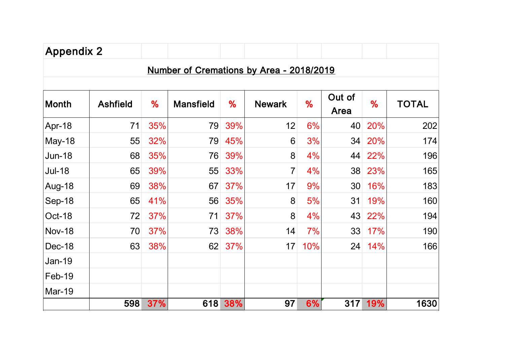| <b>Appendix 2</b> |                 |     |                                          |     |                |     |                 |     |              |
|-------------------|-----------------|-----|------------------------------------------|-----|----------------|-----|-----------------|-----|--------------|
|                   |                 |     | Number of Cremations by Area - 2018/2019 |     |                |     |                 |     |              |
| <b>Month</b>      | <b>Ashfield</b> | %   | <b>Mansfield</b>                         | %   | <b>Newark</b>  | %   | Out of<br>Area  | %   | <b>TOTAL</b> |
| Apr-18            | 71              | 35% | 79                                       | 39% | 12             | 6%  | 40              | 20% | 202          |
| <b>May-18</b>     | 55              | 32% | 79                                       | 45% | 6              | 3%  | 34              | 20% | 174          |
| <b>Jun-18</b>     | 68              | 35% | 76                                       | 39% | 8              | 4%  | 44              | 22% | 196          |
| <b>Jul-18</b>     | 65              | 39% | 55                                       | 33% | $\overline{7}$ | 4%  | 38              | 23% | 165          |
| Aug-18            | 69              | 38% | 67                                       | 37% | 17             | 9%  | 30 <sup>°</sup> | 16% | 183          |
| Sep-18            | 65              | 41% | 56                                       | 35% | 8              | 5%  | 31              | 19% | 160          |
| Oct-18            | 72              | 37% | 71                                       | 37% | 8              | 4%  | 43              | 22% | 194          |
| <b>Nov-18</b>     | 70              | 37% | 73                                       | 38% | 14             | 7%  | 33              | 17% | 190          |
| Dec-18            | 63              | 38% | 62                                       | 37% | 17             | 10% | 24              | 14% | 166          |
| Jan-19            |                 |     |                                          |     |                |     |                 |     |              |
| Feb-19            |                 |     |                                          |     |                |     |                 |     |              |
| <b>Mar-19</b>     |                 |     |                                          |     |                |     |                 |     |              |
|                   | 598             | 37% | 618                                      | 38% | 97             | 6%  | 317             | 19% | 1630         |